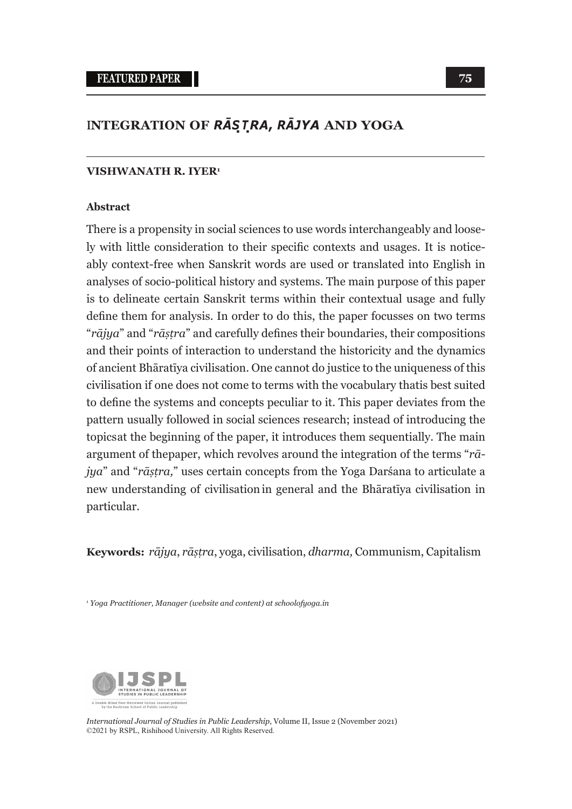## **INTEGRATION OF** *RĀS***.***<sup>T</sup>***.***RA***,** *RĀJYA* **AND YOGA**

#### **VISHWANATH R. IYER1**

#### **Abstract**

There is a propensity in social sciences to use words interchangeably and loosely with little consideration to their specific contexts and usages. It is noticeably context-free when Sanskrit words are used or translated into English in analyses of socio-political history and systems. The main purpose of this paper is to delineate certain Sanskrit terms within their contextual usage and fully define them for analysis. In order to do this, the paper focusses on two terms "*rājya*" and "*rāṣṭra*" and carefully defines their boundaries, their compositions and their points of interaction to understand the historicity and the dynamics of ancient Bhāratīya civilisation. One cannot do justice to the uniqueness of this civilisation if one does not come to terms with the vocabulary that is best suited to define the systems and concepts peculiar to it. This paper deviates from the pattern usually followed in social sciences research; instead of introducing the topics at the beginning of the paper, it introduces them sequentially. The main argument of the paper, which revolves around the integration of the terms " $r\bar{a}$ *jya*" and "*rāṣṭra,*" uses certain concepts from the Yoga Darśana to articulate a new understanding of civilisation in general and the Bhāratīya civilisation in particular.

**Keywords:** *rājya*, *rāṣṭra*, yoga, civilisation, *dharma,* Communism, Capitalism

*1 Yoga Practitioner, Manager (website and content) at schoolofyoga.in*



*International Journal of Studies in Public Leadership*, Volume II, Issue 2 (November 2021) ©2021 by RSPL, Rishihood University. All Rights Reserved.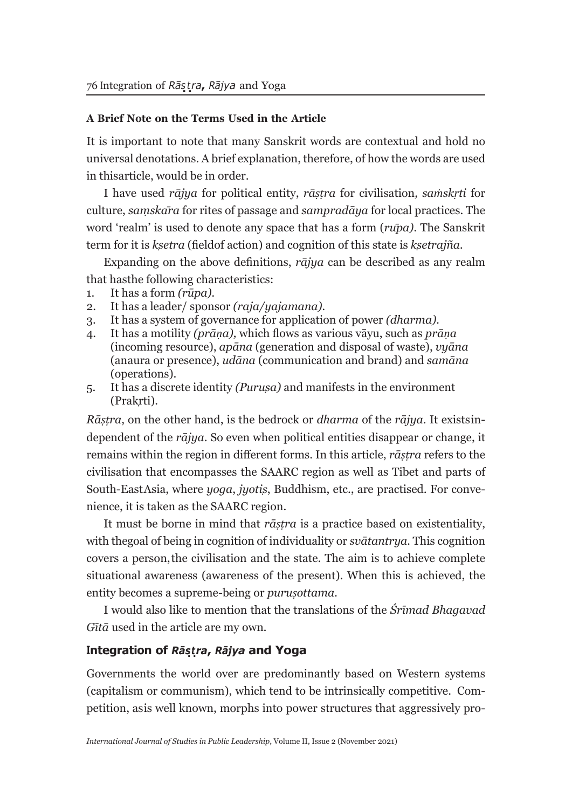### **A Brief Note on the Terms Used in the Article**

It is important to note that many Sanskrit words are contextual and hold no universal denotations. A brief explanation, therefore, of how the words are used in this article, would be in order.

I have used *rājya* for political entity, *rāṣṭra* for civilisation*, saṁskṛti* for culture, *saṃskāra* for rites of passage and *sampradāya* for local practices. The word 'realm' is used to denote any space that has a form (*rūpa).* The Sanskrit term for it is *kṣetra* (field of action) and cognition of this state is *kṣetrajña.*

Expanding on the above definitions, *rājya* can be described as any realm that has the following characteristics:

- 1. It has a form *(rūpa).*
- 2. It has a leader/ sponsor *(raja/yajamana).*
- 3. It has a system of governance for application of power *(dharma).*
- 4. It has a motility *(prāṇa),* which flows as various vāyu, such as *prāṇa*  (incoming resource), *apāna* (generation and disposal of waste), *vyāna*  (an aura or presence), *udāna* (communication and brand) and *samāna*  (operations).
- 5. It has a discrete identity *(Puruṣa)* and manifests in the environment (Prakrti).

*Rāstra*, on the other hand, is the bedrock or *dharma* of the *rājya*. It exists independent of the *rājya*. So even when political entities disappear or change, it remains within the region in different forms. In this article, *rāṣṭra* refers to the civilisation that encompasses the SAARC region as well as Tibet and parts of South-East Asia, where *yoga*, *jyotiṣ*, Buddhism, etc., are practised. For convenience, it is taken as the SAARC region.

It must be borne in mind that *rāṣṭra* is a practice based on existentiality, with the goal of being in cognition of individuality or *svātantrya*. This cognition covers a person, the civilisation and the state. The aim is to achieve complete situational awareness (awareness of the present). When this is achieved, the entity becomes a supreme-being or *puruṣottama.*

I would also like to mention that the translations of the *Śrīmad Bhagavad Gītā* used in the article are my own*.*

## **Integration of** *Rās***.***t***.** *ra***,** *Rājya* **and Yoga**

Governments the world over are predominantly based on Western systems (capitalism or communism), which tend to be intrinsically competitive. Competition, as is well known, morphs into power structures that aggressively pro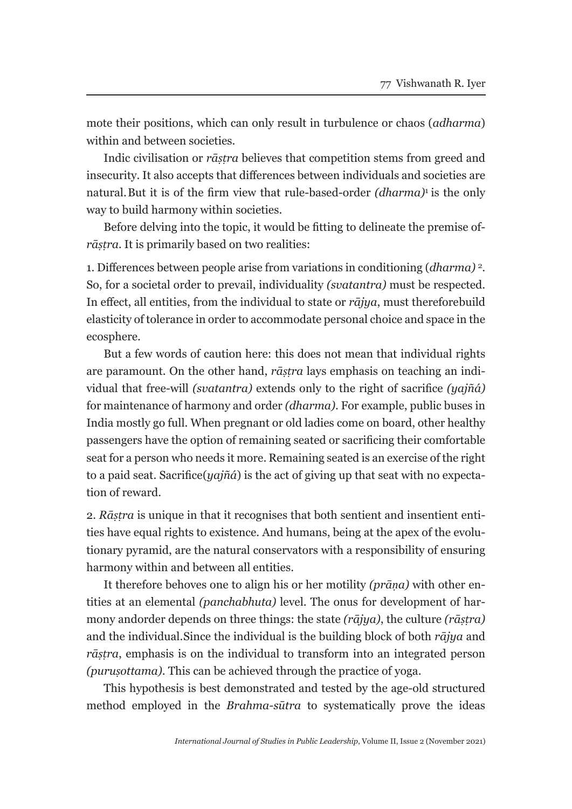mote their positions, which can only result in turbulence or chaos (*adharma*) within and between societies.

Indic civilisation or *rāṣṭra* believes that competition stems from greed and insecurity. It also accepts that differences between individuals and societies are natural. But it is of the firm view that rule-based-order *(dharma)*1 is the only way to build harmony within societies.

Before delving into the topic, it would be fitting to delineate the premise of*rāṣṭra.* It is primarily based on two realities:

1. Differences between people arise from variations in conditioning (*dharma)* 2. So, for a societal order to prevail, individuality *(svatantra)* must be respected. In effect, all entities, from the individual to state or *rājya*, must therefore build elasticity of tolerance in order to accommodate personal choice and space in the ecosphere.

But a few words of caution here: this does not mean that individual rights are paramount. On the other hand, *rāṣṭra* lays emphasis on teaching an individual that free-will *(svatantra)* extends only to the right of sacrifice *(yajñá)*  for maintenance of harmony and order *(dharma)*. For example, public buses in India mostly go full. When pregnant or old ladies come on board, other healthy passengers have the option of remaining seated or sacrificing their comfortable seat for a person who needs it more. Remaining seated is an exercise of the right to a paid seat. Sacrifice (*yajñá*) is the act of giving up that seat with no expectation of reward.

2. *Rāṣṭra* is unique in that it recognises that both sentient and insentient entities have equal rights to existence. And humans, being at the apex of the evolutionary pyramid, are the natural conservators with a responsibility of ensuring harmony within and between all entities.

It therefore behoves one to align his or her motility *(prāṇa)* with other entities at an elemental *(panchabhuta)* level. The onus for development of harmony and order depends on three things: the state *(rājya)*, the culture *(rāṣṭra)*  and the individual. Since the individual is the building block of both *rājya* and *rāṣṭra*, emphasis is on the individual to transform into an integrated person *(puruṣottama)*. This can be achieved through the practice of yoga.

This hypothesis is best demonstrated and tested by the age-old structured method employed in the *Brahma-sūtra* to systematically prove the ideas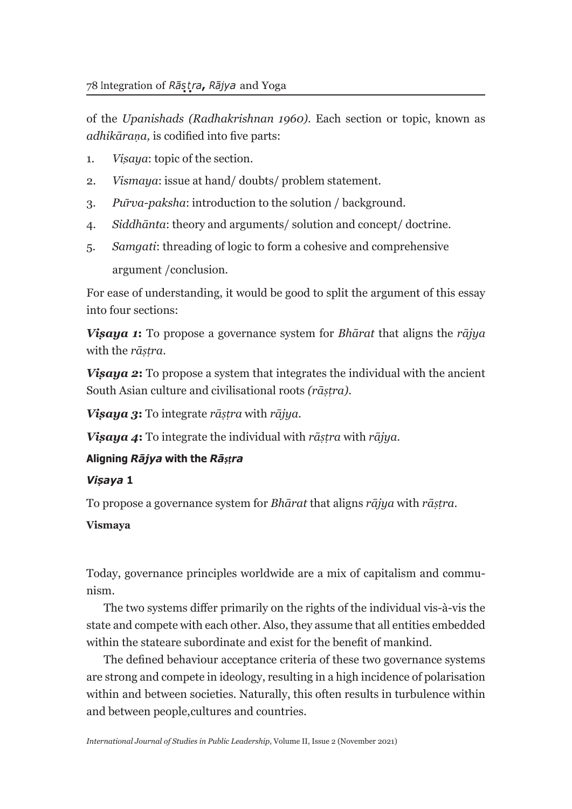of the *Upanishads (Radhakrishnan 1960)*. Each section or topic, known as *adhikāraṇa,* is codified into five parts:

- 1. *Viṣaya*: topic of the section.
- 2. *Vismaya*: issue at hand/ doubts/ problem statement.
- 3. *Pūrva-paksha*: introduction to the solution / background.
- 4. *Siddhānta*: theory and arguments/ solution and concept/ doctrine.
- 5. *Samgati*: threading of logic to form a cohesive and comprehensive argument / conclusion.

For ease of understanding, it would be good to split the argument of this essay into four sections:

*Viṣaya 1***:** To propose a governance system for *Bhārat* that aligns the *rājya*  with the *rāṣṭra*.

*Visaya 2*: To propose a system that integrates the individual with the ancient South Asian culture and civilisational roots *(rāṣṭra).*

*Viṣaya 3***:** To integrate *rāṣṭra* with *rājya.*

*Viṣaya 4***:** To integrate the individual with *rāṣṭra* with *rājya.*

## **Aligning** *Rājya* **with the** *Rāṣṭra*

## *Viṣaya* **1**

To propose a governance system for *Bhārat* that aligns *rājya* with *rāṣṭra*.

## **Vismaya**

Today, governance principles worldwide are a mix of capitalism and communism.

The two systems differ primarily on the rights of the individual vis-à-vis the state and compete with each other. Also, they assume that all entities embedded within the state are subordinate and exist for the benefit of mankind.

The defined behaviour acceptance criteria of these two governance systems are strong and compete in ideology, resulting in a high incidence of polarisation within and between societies. Naturally, this often results in turbulence within and between people, cultures and countries.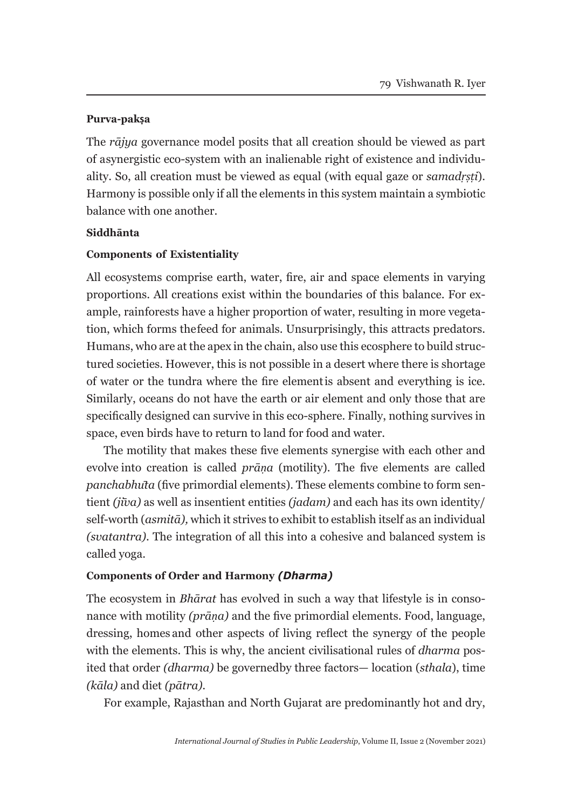#### **Purva-pakṣa**

The *rājya* governance model posits that all creation should be viewed as part of a synergistic eco-system with an inalienable right of existence and individuality. So, all creation must be viewed as equal (with equal gaze or *samadṛṣṭi*). Harmony is possible only if all the elements in this system maintain a symbiotic balance with one another.

#### **Siddhānta**

### **Components of Existentiality**

All ecosystems comprise earth, water, fire, air and space elements in varying proportions. All creations exist within the boundaries of this balance. For example, rain forests have a higher proportion of water, resulting in more vegetation, which forms the feed for animals. Unsurprisingly, this attracts predators. Humans, who are at the apex in the chain, also use this ecosphere to build structured societies. However, this is not possible in a desert where there is shortage of water or the tundra where the fire element is absent and everything is ice. Similarly, oceans do not have the earth or air element and only those that are specifically designed can survive in this eco-sphere. Finally, nothing survives in space, even birds have to return to land for food and water.

The motility that makes these five elements synergise with each other and evolve into creation is called *prāṇa* (motility). The five elements are called *panchabhūta* (five primordial elements). These elements combine to form sentient *(jīva)* as well as insentient entities *(jadam)* and each has its own identity/ self-worth (*asmitā),* which it strives to exhibit to establish itself as an individual *(svatantra)*. The integration of all this into a cohesive and balanced system is called yoga.

### **Components of Order and Harmony** *(Dharma)*

The ecosystem in *Bhārat* has evolved in such a way that lifestyle is in consonance with motility *(prāṇa)* and the five primordial elements. Food, language, dressing, homes and other aspects of living reflect the synergy of the people with the elements. This is why, the ancient civilisational rules of *dharma* posited that order *(dharma)* be governed by three factors— location *(sthala)*, time *(kāla)* and diet *(pātra).*

For example, Rajasthan and North Gujarat are predominantly hot and dry,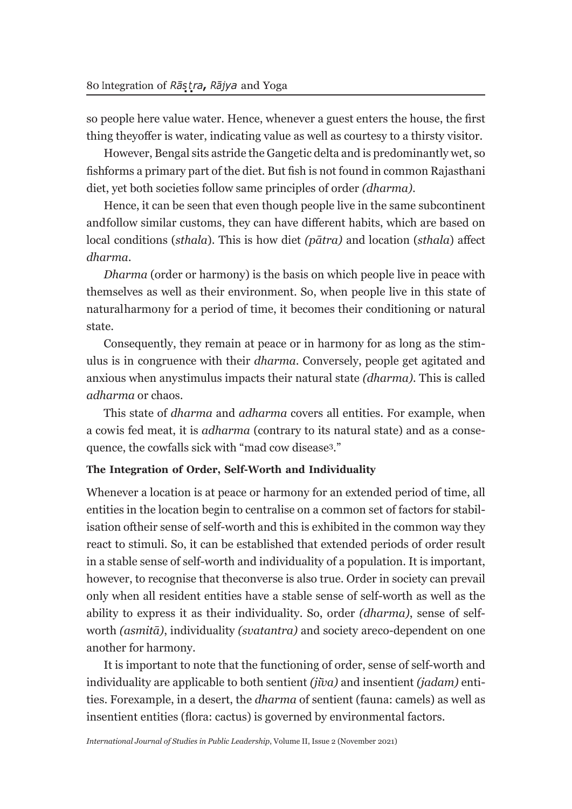so people here value water. Hence, whenever a guest enters the house, the first thing they offer is water, indicating value as well as courtesy to a thirsty visitor.

However, Bengal sits astride the Gangetic delta and is predominantly wet, so fish forms a primary part of the diet. But fish is not found in common Rajasthani diet, yet both societies follow same principles of order *(dharma)*.

Hence, it can be seen that even though people live in the same subcontinent and follow similar customs, they can have different habits, which are based on local conditions (*sthala*). This is how diet *(pātra)* and location (*sthala*) affect *dharma*.

*Dharma* (order or harmony) is the basis on which people live in peace with themselves as well as their environment. So, when people live in this state of natural harmony for a period of time, it becomes their conditioning or natural state.

Consequently, they remain at peace or in harmony for as long as the stimulus is in congruence with their *dharma*. Conversely, people get agitated and anxious when any stimulus impacts their natural state *(dharma).* This is called *adharma* or chaos.

This state of *dharma* and *adharma* covers all entities. For example, when a cow is fed meat, it is *adharma* (contrary to its natural state) and as a consequence, the cowfalls sick with "mad cow disease3."

#### **The Integration of Order, Self-Worth and Individuality**

Whenever a location is at peace or harmony for an extended period of time, all entities in the location begin to centralise on a common set of factors for stabilisation of their sense of self-worth and this is exhibited in the common way they react to stimuli. So, it can be established that extended periods of order result in a stable sense of self-worth and individuality of a population. It is important, however, to recognise that the converse is also true. Order in society can prevail only when all resident entities have a stable sense of self-worth as well as the ability to express it as their individuality. So, order *(dharma)*, sense of selfworth *(asmitā)*, individuality *(svatantra)* and society are co-dependent on one another for harmony.

It is important to note that the functioning of order, sense of self-worth and individuality are applicable to both sentient *(jīva)* and insentient *(jadam)* entities. For example, in a desert, the *dharma* of sentient (fauna: camels) as well as insentient entities (flora: cactus) is governed by environmental factors.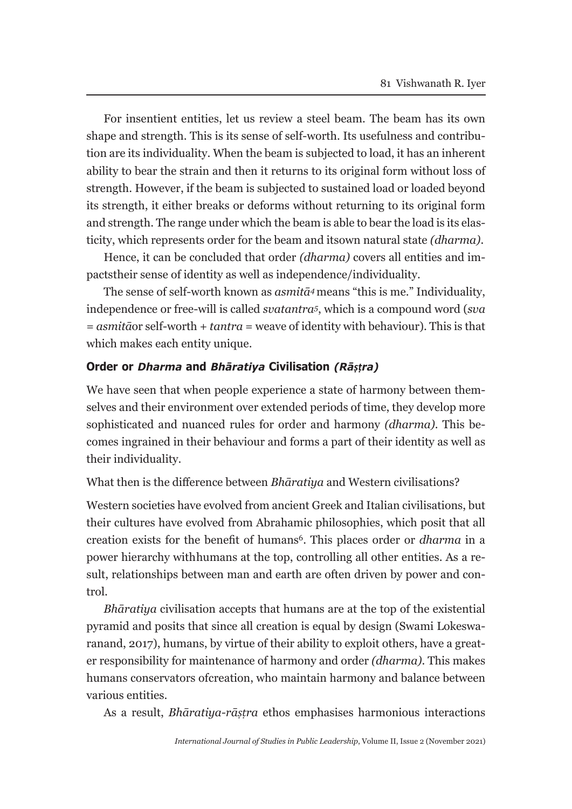For insentient entities, let us review a steel beam. The beam has its own shape and strength. This is its sense of self-worth. Its usefulness and contribution are its individuality. When the beam is subjected to load, it has an inherent ability to bear the strain and then it returns to its original form without loss of strength. However, if the beam is subjected to sustained load or loaded beyond its strength, it either breaks or deforms without returning to its original form and strength. The range under which the beam is able to bear the load is its elasticity, which represents order for the beam and its own natural state *(dharma)*.

Hence, it can be concluded that order *(dharma)* covers all entities and impacts their sense of identity as well as independence/individuality.

The sense of self-worth known as *asmitā4* means "this is me." Individuality, independence or free-will is called *svatantra<sup>5</sup>*, which is a compound word (*sva*  = *asmitā* or self-worth + *tantra* = weave of identity with behaviour). This is that which makes each entity unique.

### **Order or** *Dharma* **and** *Bhāratiya* **Civilisation** *(Rāṣṭra)*

We have seen that when people experience a state of harmony between themselves and their environment over extended periods of time, they develop more sophisticated and nuanced rules for order and harmony *(dharma)*. This becomes ingrained in their behaviour and forms a part of their identity as well as their individuality.

What then is the difference between *Bhāratiya* and Western civilisations?

Western societies have evolved from ancient Greek and Italian civilisations, but their cultures have evolved from Abrahamic philosophies, which posit that all creation exists for the benefit of humans6. This places order or *dharma* in a power hierarchy with humans at the top, controlling all other entities. As a result, relationships between man and earth are often driven by power and control.

*Bhāratiya* civilisation accepts that humans are at the top of the existential pyramid and posits that since all creation is equal by design (Swami Lokeswaranand, 2017), humans, by virtue of their ability to exploit others, have a greater responsibility for maintenance of harmony and order *(dharma)*. This makes humans conservators of creation, who maintain harmony and balance between various entities.

As a result, *Bhāratiya-rāṣṭra* ethos emphasises harmonious interactions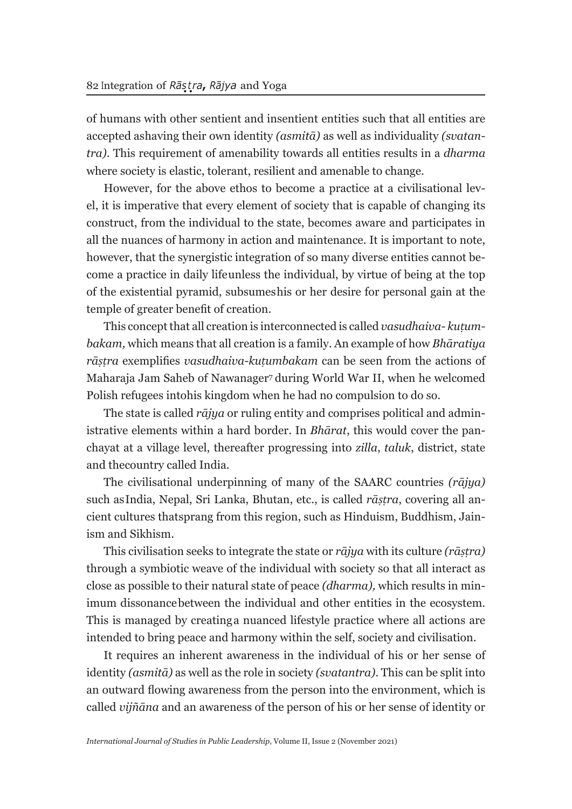of humans with other sentient and insentient entities such that all entities are accepted ashaving their own identity *(asmitā)* as well as individuality *(svatantra)*. This requirement of amenability towards all entities results in a *dharma*  where society is elastic, tolerant, resilient and amenable to change.

However, for the above ethos to become a practice at a civilisational level, it is imperative that every element of society that is capable of changing its construct, from the individual to the state, becomes aware and participates in all the nuances of harmony in action and maintenance. It is important to note, however, that the synergistic integration of so many diverse entities cannot become a practice in daily life unless the individual, by virtue of being at the top of the existential pyramid, subsumes his or her desire for personal gain at the temple of greater benefit of creation.

This concept that all creation is interconnected is called *vasudhaiva- kuṭumbakam,* which means that all creation is a family. An example of how *Bhāratiya rāṣṭra* exemplifies *vasudhaiva-kuṭumbakam* can be seen from the actions of Maharaja Jam Saheb of Nawanager7 during World War II, when he welcomed Polish refugees into his kingdom when he had no compulsion to do so.

The state is called *rājya* or ruling entity and comprises political and administrative elements within a hard border. In *Bhārat*, this would cover the panchayat at a village level, thereafter progressing into *zilla*, *taluk*, district, state and the country called India.

The civilisational underpinning of many of the SAARC countries *(rājya)*  such as India, Nepal, Sri Lanka, Bhutan, etc., is called *rāṣṭra*, covering all ancient cultures that sprang from this region, such as Hinduism, Buddhism, Jainism and Sikhism.

This civilisation seeks to integrate the state or *rājya* with its culture *(rāṣṭra)*  through a symbiotic weave of the individual with society so that all interact as close as possible to their natural state of peace *(dharma),* which results in minimum dissonance between the individual and other entities in the ecosystem. This is managed by creating a nuanced lifestyle practice where all actions are intended to bring peace and harmony within the self, society and civilisation.

It requires an inherent awareness in the individual of his or her sense of identity *(asmitā)* as well as the role in society *(svatantra)*. This can be split into an outward flowing awareness from the person into the environment, which is called *vijñāna* and an awareness of the person of his or her sense of identity or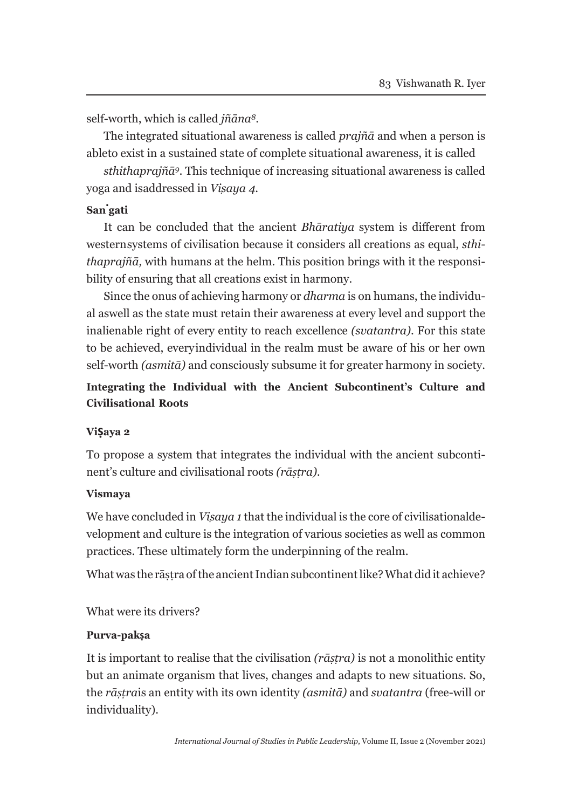self-worth, which is called *jñāna<sup>8</sup>*.

The integrated situational awareness is called *prajñā* and when a person is able to exist in a sustained state of complete situational awareness, it is called

*sthithaprajñā9.* This technique of increasing situational awareness is called yoga and is addressed in *Viṣaya 4*.

## **San. gati**

It can be concluded that the ancient *Bhāratiya* system is different from western systems of civilisation because it considers all creations as equal, *sthithaprajñā,* with humans at the helm. This position brings with it the responsibility of ensuring that all creations exist in harmony.

Since the onus of achieving harmony or *dharma* is on humans, the individual as well as the state must retain their awareness at every level and support the inalienable right of every entity to reach excellence *(svatantra)*. For this state to be achieved, every individual in the realm must be aware of his or her own self-worth *(asmitā)* and consciously subsume it for greater harmony in society.

## **Integrating the Individual with the Ancient Subcontinent's Culture and Civilisational Roots**

### **Viṣaya 2**

To propose a system that integrates the individual with the ancient subcontinent's culture and civilisational roots *(rāṣṭra).*

### **Vismaya**

We have concluded in *Visaya 1* that the individual is the core of civilisational development and culture is the integration of various societies as well as common practices. These ultimately form the underpinning of the realm.

What was the rāstra of the ancient Indian subcontinent like? What did it achieve?

What were its drivers?

### **Purva-pakṣa**

It is important to realise that the civilisation *(rāṣṭra)* is not a monolithic entity but an animate organism that lives, changes and adapts to new situations. So, the *rāṣṭra* is an entity with its own identity *(asmitā)* and *svatantra* (free-will or individuality).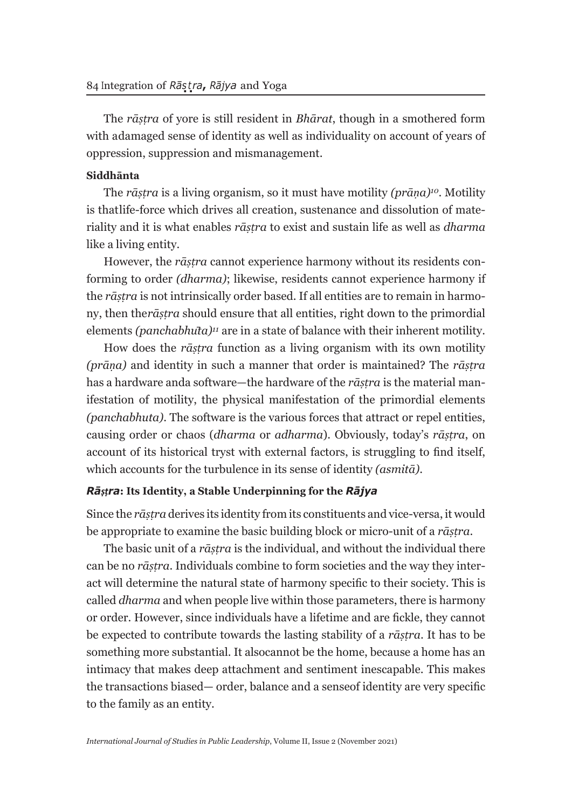The *rāṣṭra* of yore is still resident in *Bhārat*, though in a smothered form with adamaged sense of identity as well as individuality on account of years of oppression, suppression and mismanagement.

#### **Siddhānta**

The *rāṣṭra* is a living organism, so it must have motility *(prāṇa)10*. Motility is that life-force which drives all creation, sustenance and dissolution of materiality and it is what enables *rāṣṭra* to exist and sustain life as well as *dharma*  like a living entity.

However, the *rāṣṭra* cannot experience harmony without its residents conforming to order *(dharma)*; likewise, residents cannot experience harmony if the *rāṣṭra* is not intrinsically order based. If all entities are to remain in harmony, then the *rāṣṭra* should ensure that all entities, right down to the primordial elements *(panchabhuta)<sup>11</sup>* are in a state of balance with their inherent motility.

How does the *rāṣṭra* function as a living organism with its own motility *(prāṇa)* and identity in such a manner that order is maintained? The *rāṣṭra*  has a hardware and a software—the hardware of the *rāṣṭra* is the material manifestation of motility, the physical manifestation of the primordial elements *(panchabhuta)*. The software is the various forces that attract or repel entities, causing order or chaos (*dharma* or *adharma*). Obviously, today's *rāṣṭra*, on account of its historical tryst with external factors, is struggling to find itself, which accounts for the turbulence in its sense of identity *(asmitā)*.

#### *Rāṣṭra***: Its Identity, a Stable Underpinning for the** *Rājya*

Since the *rāṣṭra* derives its identity from its constituents and vice-versa, it would be appropriate to examine the basic building block or micro-unit of a *rāṣṭra*.

The basic unit of a *rāṣṭra* is the individual, and without the individual there can be no *rāṣṭra*. Individuals combine to form societies and the way they interact will determine the natural state of harmony specific to their society. This is called *dharma* and when people live within those parameters, there is harmony or order. However, since individuals have a lifetime and are fickle, they cannot be expected to contribute towards the lasting stability of a *rāṣṭra*. It has to be something more substantial. It also cannot be the home, because a home has an intimacy that makes deep attachment and sentiment inescapable. This makes the transactions biased— order, balance and a sense of identity are very specific to the family as an entity.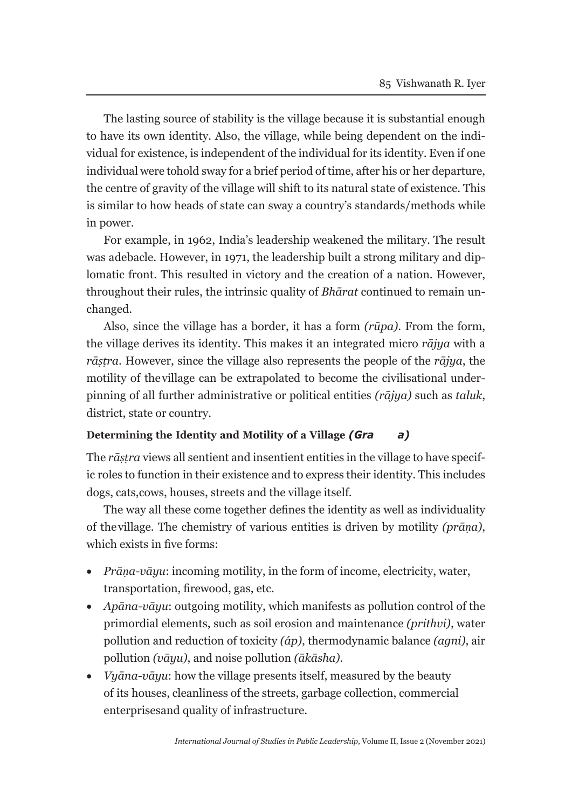The lasting source of stability is the village because it is substantial enough to have its own identity. Also, the village, while being dependent on the individual for existence, is independent of the individual for its identity. Even if one individual were tohold sway for a brief period of time, after his or her departure, the centre of gravity of the village will shift to its natural state of existence. This is similar to how heads of state can sway a country's standards/methods while in power.

For example, in 1962, India's leadership weakened the military. The result was a debacle. However, in 1971, the leadership built a strong military and diplomatic front. This resulted in victory and the creation of a nation. However, throughout their rules, the intrinsic quality of *Bhārat* continued to remain unchanged.

Also, since the village has a border, it has a form *(rūpa)*. From the form, the village derives its identity. This makes it an integrated micro *rājya* with a *rāṣṭra*. However, since the village also represents the people of the *rājya*, the motility of the village can be extrapolated to become the civilisational underpinning of all further administrative or political entities *(rājya)* such as *taluk*, district, state or country.

### **Determining the Identity and Motility of a Village** *(Gra a)*

The *rāṣṭra* views all sentient and insentient entities in the village to have specific roles to function in their existence and to express their identity. This includes dogs, cats, cows, houses, streets and the village itself.

The way all these come together defines the identity as well as individuality of the village. The chemistry of various entities is driven by motility *(prāṇa)*, which exists in five forms:

- *Prāna-vāyu*: incoming motility, in the form of income, electricity, water, transportation, firewood, gas, etc.
- *Apāna-vāyu*: outgoing motility, which manifests as pollution control of the primordial elements, such as soil erosion and maintenance *(prithvi)*, water pollution and reduction of toxicity *(áp)*, thermodynamic balance *(agni)*, air pollution *(vāyu)*, and noise pollution *(ākāsha)*.
- *Vyāna-vāyu*: how the village presents itself, measured by the beauty of its houses, cleanliness of the streets, garbage collection, commercial enterprises and quality of infrastructure.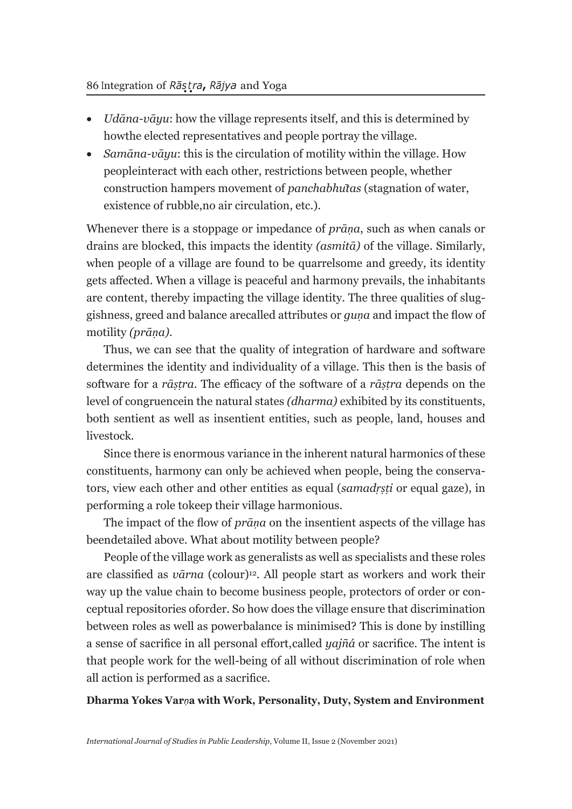- *Udāna-vāyu*: how the village represents itself, and this is determined by how the elected representatives and people portray the village.
- *Samāna-vāyu*: this is the circulation of motility within the village. How people interact with each other, restrictions between people, whether construction hampers movement of *panchabhūtas* (stagnation of water, existence of rubble, no air circulation, etc.).

Whenever there is a stoppage or impedance of *prāṇa*, such as when canals or drains are blocked, this impacts the identity *(asmitā)* of the village. Similarly, when people of a village are found to be quarrelsome and greedy, its identity gets affected. When a village is peaceful and harmony prevails, the inhabitants are content, thereby impacting the village identity. The three qualities of sluggishness, greed and balance are called attributes or *guṇa* and impact the flow of motility *(prāṇa)*.

Thus, we can see that the quality of integration of hardware and software determines the identity and individuality of a village. This then is the basis of software for a *rāṣṭra*. The efficacy of the software of a *rāṣṭra* depends on the level of congruence in the natural states *(dharma)* exhibited by its constituents, both sentient as well as insentient entities, such as people, land, houses and livestock.

Since there is enormous variance in the inherent natural harmonics of these constituents, harmony can only be achieved when people, being the conservators, view each other and other entities as equal (*samadṛṣṭi* or equal gaze), in performing a role to keep their village harmonious.

The impact of the flow of *prāṇa* on the insentient aspects of the village has been detailed above. What about motility between people?

People of the village work as generalists as well as specialists and these roles are classified as *vārna* (colour)12. All people start as workers and work their way up the value chain to become business people, protectors of order or conceptual repositories of order. So how does the village ensure that discrimination between roles as well as power balance is minimised? This is done by instilling a sense of sacrifice in all personal effort, called *yajñá* or sacrifice. The intent is that people work for the well-being of all without discrimination of role when all action is performed as a sacrifice.

### **Dharma Yokes Var***ṇ***a with Work, Personality, Duty, System and Environment**

*International Journal of Studies in Public Leadership*, Volume II, Issue 2 (November 2021)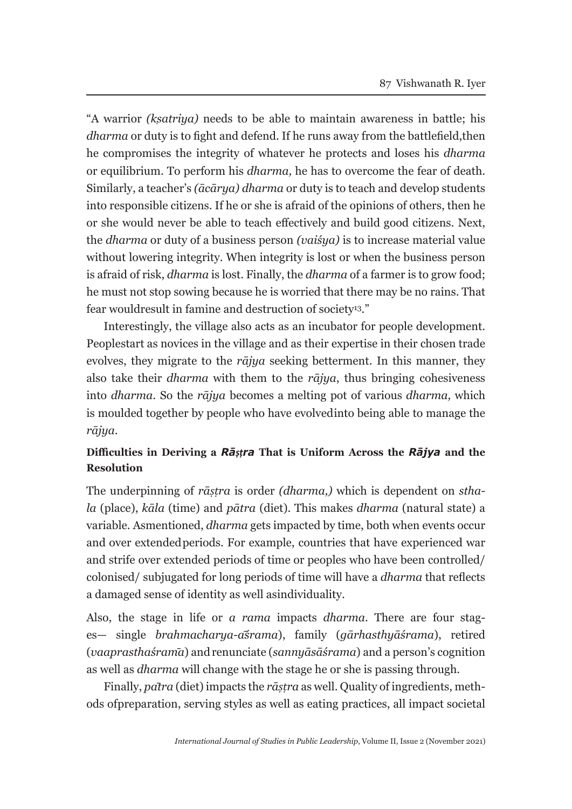"A warrior *(kṣatriya)* needs to be able to maintain awareness in battle; his *dharma* or duty is to fight and defend. If he runs away from the battlefield, then he compromises the integrity of whatever he protects and loses his *dharma*  or equilibrium. To perform his *dharma,* he has to overcome the fear of death. Similarly, a teacher's *(ācārya) dharma* or duty is to teach and develop students into responsible citizens. If he or she is afraid of the opinions of others, then he or she would never be able to teach effectively and build good citizens. Next, the *dharma* or duty of a business person *(vaiśya)* is to increase material value without lowering integrity. When integrity is lost or when the business person is afraid of risk, *dharma* is lost. Finally, the *dharma* of a farmer is to grow food; he must not stop sowing because he is worried that there may be no rains. That fear would result in famine and destruction of society<sup>13</sup>."

Interestingly, the village also acts as an incubator for people development. Peoplestart as novices in the village and as their expertise in their chosen trade evolves, they migrate to the *rājya* seeking betterment. In this manner, they also take their *dharma* with them to the *rājya*, thus bringing cohesiveness into *dharma*. So the *rājya* becomes a melting pot of various *dharma,* which is moulded together by people who have evolved into being able to manage the *rājya*.

### **Difficulties in Deriving a** *Rāṣṭra* **That is Uniform Across the** *Rājya* **and the Resolution**

The underpinning of *rāṣṭra* is order *(dharma,)* which is dependent on *sthala* (place), *kāla* (time) and *pātra* (diet). This makes *dharma* (natural state) a variable. As mentioned, *dharma* gets impacted by time, both when events occur and over extended periods. For example, countries that have experienced war and strife over extended periods of time or peoples who have been controlled/ colonised/ subjugated for long periods of time will have a *dharma* that reflects a damaged sense of identity as well as individuality.

Also, the stage in life or *a rama* impacts *dharma*. There are four stages— single *brahmacharya-āśrama*), family (*gārhasthyāśrama*), retired (*vaaprasthaśram̄a*) andrenunciate (*sannyāsāśrama*) and a person's cognition as well as *dharma* will change with the stage he or she is passing through.

Finally, *pātra* (diet) impacts the *rāṣṭra* as well. Quality of ingredients, methods of preparation, serving styles as well as eating practices, all impact societal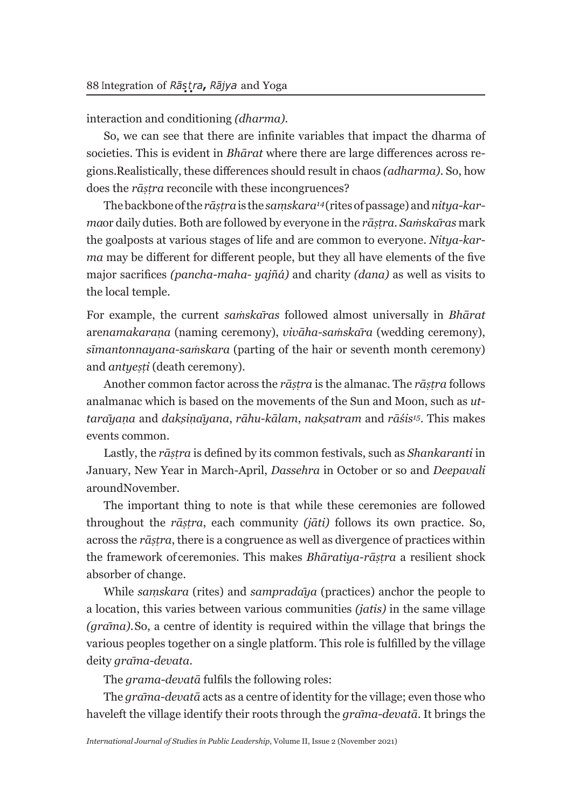interaction and conditioning *(dharma).*

So, we can see that there are infinite variables that impact the dharma of societies. This is evident in *Bhārat* where there are large differences across regions. Realistically, these differences should result in chaos *(adharma)*. So, how does the *rāṣṭra* reconcile with these incongruences?

The backbone of the *rāṣṭra* is the *saṃskara14* (rites of passage) and *nitya-karma* or daily duties. Both are followed by everyone in the *rāṣṭra. Saṁskāras* mark the goalposts at various stages of life and are common to everyone. *Nitya-karma* may be different for different people, but they all have elements of the five major sacrifices *(pancha-maha- yajñá)* and charity *(dana)* as well as visits to the local temple.

For example, the current *saṁskāras* followed almost universally in *Bhārat*  are*namakaraṇa* (naming ceremony), *vivāha-saṁskāra* (wedding ceremony), *sīmantonnayana-saṁskara* (parting of the hair or seventh month ceremony) and *antyeṣṭi* (death ceremony).

Another common factor across the *rāṣṭra* is the almanac. The *rāṣṭra* follows an almanac which is based on the movements of the Sun and Moon, such as *uttarāyaṇa* and *dakṣiṇāyana*, *rāhu*-*kālam*, *nakṣatram* and *rāśis<sup>15</sup>*. This makes events common.

Lastly, the *rāṣṭra* is defined by its common festivals, such as *Shankaranti* in January, New Year in March-April, *Dassehra* in October or so and *Deepavali*  around November.

The important thing to note is that while these ceremonies are followed throughout the *rāṣṭra*, each community *(jāti)* follows its own practice. So, across the *rāṣṭra*, there is a congruence as well as divergence of practices within the framework of ceremonies. This makes *Bhāratiya-rāṣṭra* a resilient shock absorber of change.

While *saṃskara* (rites) and *sampradāya* (practices) anchor the people to a location, this varies between various communities *(jatis)* in the same village *(grāma)*. So, a centre of identity is required within the village that brings the various peoples together on a single platform. This role is fulfilled by the village deity *grāma-devata*.

The *grama-devatā* fulfils the following roles:

The *grāma-devatā* acts as a centre of identity for the village; even those who have left the village identify their roots through the *grāma-devatā*. It brings the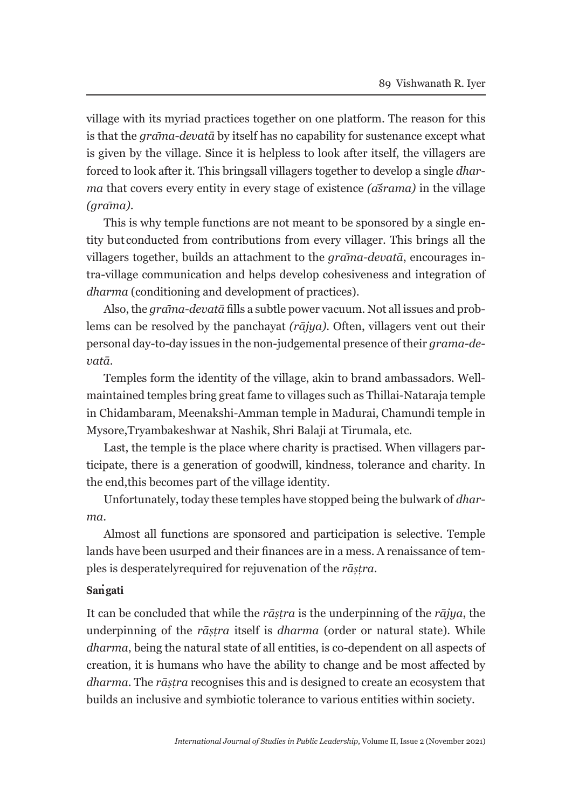village with its myriad practices together on one platform. The reason for this is that the *grāma-devatā* by itself has no capability for sustenance except what is given by the village. Since it is helpless to look after itself, the villagers are forced to look after it. This brings all villagers together to develop a single *dharma* that covers every entity in every stage of existence *(āśrama)* in the village *(grāma)*.

This is why temple functions are not meant to be sponsored by a single entity but conducted from contributions from every villager. This brings all the villagers together, builds an attachment to the *grāma-devatā*, encourages intra-village communication and helps develop cohesiveness and integration of *dharma* (conditioning and development of practices).

Also, the *grāma-devatā* fills a subtle power vacuum. Not all issues and problems can be resolved by the panchayat *(rājya)*. Often, villagers vent out their personal day-to- day issues in the non-judgemental presence of their *grama-devatā*.

Temples form the identity of the village, akin to brand ambassadors. Wellmaintained temples bring great fame to villages such as Thillai-Nataraja temple in Chidambaram, Meenakshi-Amman temple in Madurai, Chamundi temple in Mysore, Tryambakeshwar at Nashik, Shri Balaji at Tirumala, etc.

Last, the temple is the place where charity is practised. When villagers participate, there is a generation of goodwill, kindness, tolerance and charity. In the end, this becomes part of the village identity.

Unfortunately, today these temples have stopped being the bulwark of *dharma*.

Almost all functions are sponsored and participation is selective. Temple lands have been usurped and their finances are in a mess. A renaissance of temples is desperately required for rejuvenation of the *rāṣṭra*.

## **San . gati**

It can be concluded that while the *rāṣṭra* is the underpinning of the *rājya*, the underpinning of the *rāṣṭra* itself is *dharma* (order or natural state). While *dharma*, being the natural state of all entities, is co-dependent on all aspects of creation, it is humans who have the ability to change and be most affected by *dharma*. The *rāṣṭra* recognises this and is designed to create an ecosystem that builds an inclusive and symbiotic tolerance to various entities within society.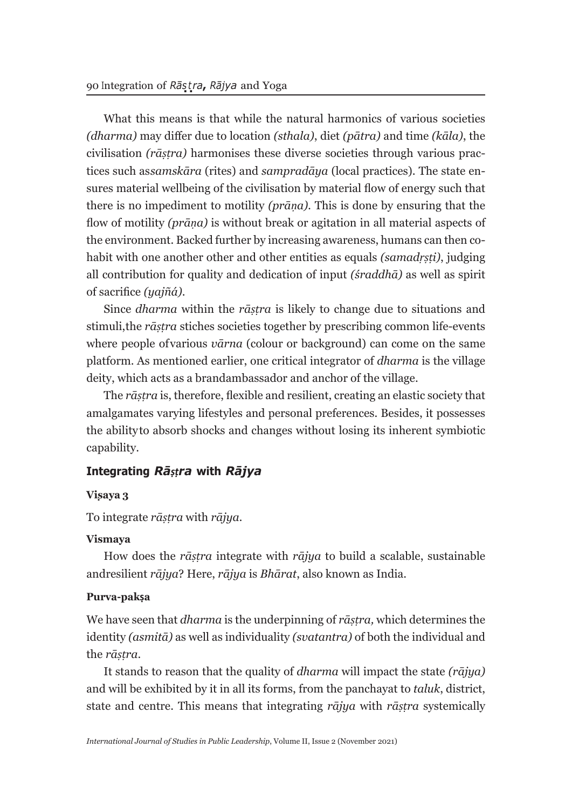What this means is that while the natural harmonics of various societies *(dharma)* may differ due to location *(sthala)*, diet *(pātra)* and time *(kāla)*, the civilisation *(rāṣṭra)* harmonises these diverse societies through various practices such as *samskāra* (rites) and *sampradāya* (local practices). The state ensures material wellbeing of the civilisation by material flow of energy such that there is no impediment to motility *(prāṇa).* This is done by ensuring that the flow of motility *(prāṇa)* is without break or agitation in all material aspects of the environment. Backed further by increasing awareness, humans can then cohabit with one another other and other entities as equals *(samadṛṣṭi)*, judging all contribution for quality and dedication of input *(śraddhā)* as well as spirit of sacrifice *(yajñá)*.

Since *dharma* within the *rāṣṭra* is likely to change due to situations and stimuli, the *rāṣṭra* stiches societies together by prescribing common life-events where people of various *vārna* (colour or background) can come on the same platform. As mentioned earlier, one critical integrator of *dharma* is the village deity, which acts as a brand ambassador and anchor of the village.

The *rāṣṭra* is, therefore, flexible and resilient, creating an elastic society that amalgamates varying lifestyles and personal preferences. Besides, it possesses the ability to absorb shocks and changes without losing its inherent symbiotic capability.

### **Integrating** *Rāṣṭra* **with** *Rājya*

#### **Viṣaya 3**

To integrate *rāṣṭra* with *rājya.*

#### **Vismaya**

How does the *rāṣṭra* integrate with *rājya* to build a scalable, sustainable and resilient *rājya*? Here, *rājya* is *Bhārat*, also known as India.

#### **Purva-pakṣa**

We have seen that *dharma* is the underpinning of *rāṣṭra,* which determines the identity *(asmitā)* as well as individuality *(svatantra)* of both the individual and the *rāṣṭra*.

It stands to reason that the quality of *dharma* will impact the state *(rājya)*  and will be exhibited by it in all its forms, from the panchayat to *taluk*, district, state and centre. This means that integrating *rājya* with *rāṣṭra* systemically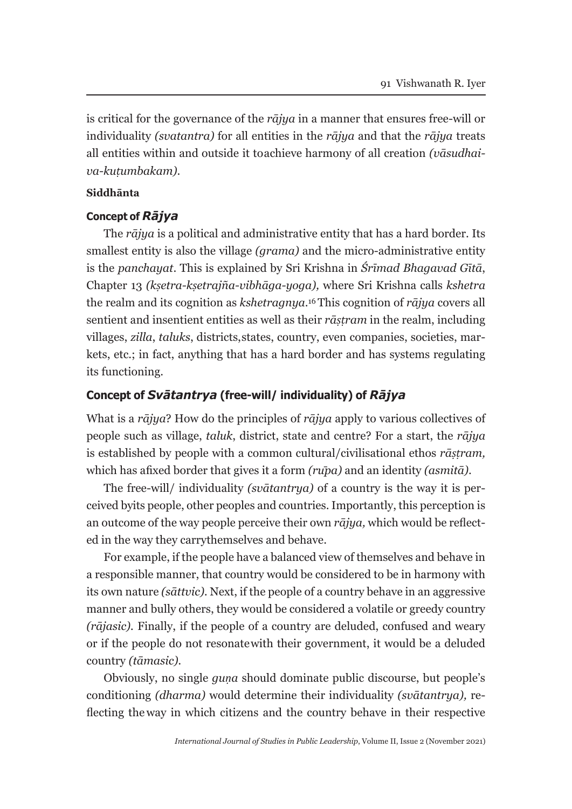is critical for the governance of the *rājya* in a manner that ensures free-will or individuality *(svatantra)* for all entities in the *rājya* and that the *rājya* treats all entities within and outside it to achieve harmony of all creation *(vāsudhaiva-kuṭumbakam)*.

#### **Siddhānta**

#### **Concept of** *Rājya*

The *rājya* is a political and administrative entity that has a hard border. Its smallest entity is also the village *(grama)* and the micro-administrative entity is the *panchayat*. This is explained by Sri Krishna in *Śrīmad Bhagavad Gītā*, Chapter 13 *(kṣetra-kṣetrajña-vibhāga-yoga),* where Sri Krishna calls *kshetra*  the realm and its cognition as *kshetragnya*.16 This cognition of *rājya* covers all sentient and insentient entities as well as their *rāṣṭram* in the realm, including villages, *zilla*, *taluks*, districts, states, country, even companies, societies, markets, etc.; in fact, anything that has a hard border and has systems regulating its functioning.

#### **Concept of** *Svātantrya* **(free-will/ individuality) of** *Rājya*

What is a *rājya*? How do the principles of *rājya* apply to various collectives of people such as village, *taluk*, district, state and centre? For a start, the *rājya*  is established by people with a common cultural/civilisational ethos *rāṣṭram,*  which has a fixed border that gives it a form *(rupa)* and an identity *(asmita)*.

The free-will/ individuality *(svātantrya)* of a country is the way it is perceived by its people, other peoples and countries. Importantly, this perception is an outcome of the way people perceive their own *rājya,* which would be reflected in the way they carry themselves and behave.

For example, if the people have a balanced view of themselves and behave in a responsible manner, that country would be considered to be in harmony with its own nature *(sāttvic).* Next, if the people of a country behave in an aggressive manner and bully others, they would be considered a volatile or greedy country *(rājasic).* Finally, if the people of a country are deluded, confused and weary or if the people do not resonate with their government, it would be a deluded country *(tāmasic).*

Obviously, no single *quna* should dominate public discourse, but people's conditioning *(dharma)* would determine their individuality *(svātantrya),* reflecting the way in which citizens and the country behave in their respective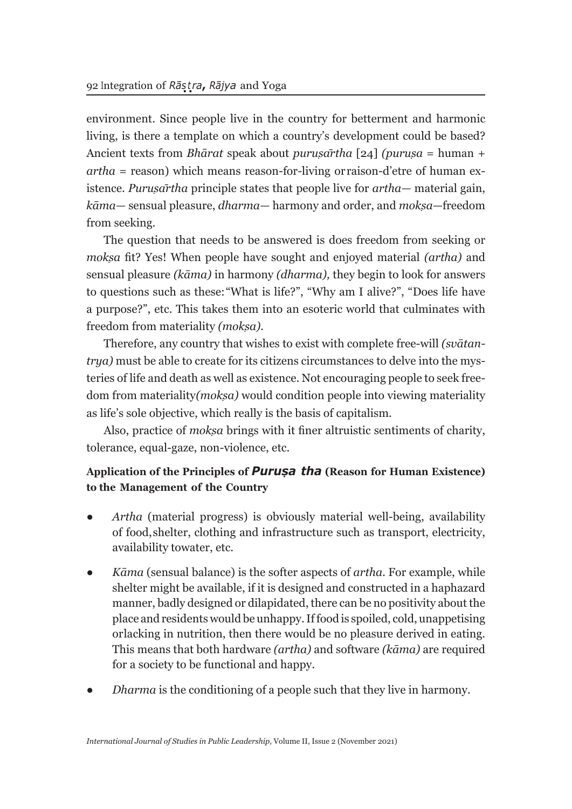environment. Since people live in the country for betterment and harmonic living, is there a template on which a country's development could be based? Ancient texts from *Bhārat* speak about *puruṣārtha* [24] *(puruṣa* = human + *artha* = reason) which means reason-for-living or raison-d'etre of human existence. *Puruṣārtha* principle states that people live for *artha—* material gain, *kāma—* sensual pleasure, *dharma—* harmony and order, and *mokṣa*—freedom from seeking.

The question that needs to be answered is does freedom from seeking or *mokṣa* fit? Yes! When people have sought and enjoyed material *(artha)* and sensual pleasure *(kāma)* in harmony *(dharma),* they begin to look for answers to questions such as these: "What is life?", "Why am I alive?", "Does life have a purpose?", etc. This takes them into an esoteric world that culminates with freedom from materiality *(mokṣa).*

Therefore, any country that wishes to exist with complete free-will *(svātantrya)* must be able to create for its citizens circumstances to delve into the mysteries of life and death as well as existence. Not encouraging people to seek freedom from materiality *(mokṣa)* would condition people into viewing materiality as life's sole objective, which really is the basis of capitalism.

Also, practice of *mokṣa* brings with it finer altruistic sentiments of charity, tolerance, equal-gaze, non-violence, etc.

## **Application of the Principles of** *Puruṣa tha* **(Reason for Human Existence) to the Management of the Country**

- *● Artha* (material progress) is obviously material well-being, availability of food, shelter, clothing and infrastructure such as transport, electricity, availability towater, etc.
- *● Kāma* (sensual balance) is the softer aspects of *artha.* For example, while shelter might be available, if it is designed and constructed in a haphazard manner, badly designed or dilapidated, there can be no positivity about the place and residents would be unhappy. If food is spoiled, cold, unappetising or lacking in nutrition, then there would be no pleasure derived in eating. This means that both hardware *(artha)* and software *(kāma)* are required for a society to be functional and happy.
- *Dharma* is the conditioning of a people such that they live in harmony.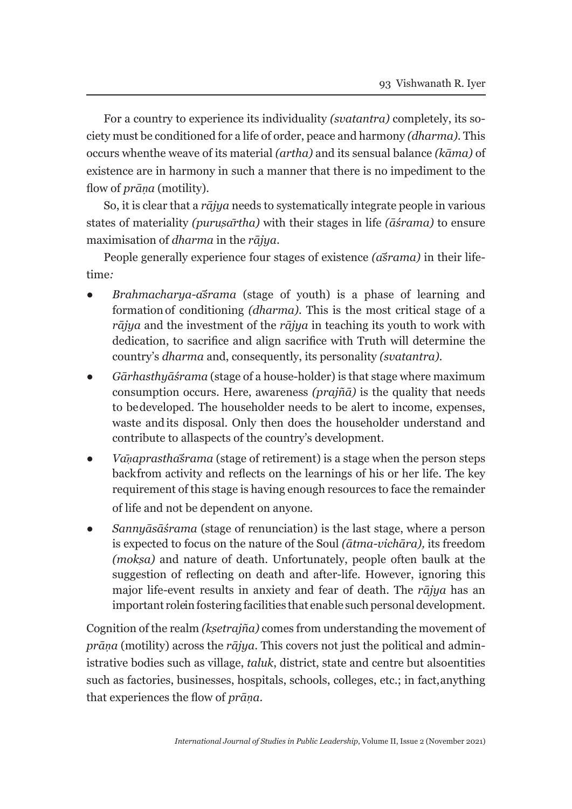For a country to experience its individuality *(svatantra)* completely, its society must be conditioned for a life of order, peace and harmony *(dharma).* This occurs when the weave of its material *(artha)* and its sensual balance *(kāma)* of existence are in harmony in such a manner that there is no impediment to the flow of *prāṇa* (motility).

So, it is clear that a *rājya* needs to systematically integrate people in various states of materiality *(puruṣārtha)* with their stages in life *(āśrama)* to ensure maximisation of *dharma* in the *rājya*.

People generally experience four stages of existence *(āśrama)* in their lifetime*:*

- *● Brahmacharya-āśrama* (stage of youth) is a phase of learning and formation of conditioning *(dharma).* This is the most critical stage of a *rājya* and the investment of the *rājya* in teaching its youth to work with dedication, to sacrifice and align sacrifice with Truth will determine the country's *dharma* and, consequently, its personality *(svatantra).*
- *● Gārhasthyāśrama* (stage of a house-holder) is that stage where maximum consumption occurs. Here, awareness *(prajñā)* is the quality that needs to be developed. The householder needs to be alert to income, expenses, waste and its disposal. Only then does the householder understand and contribute to allaspects of the country's development.
- *● Vāṇaprasthāśrama* (stage of retirement) is a stage when the person steps back from activity and reflects on the learnings of his or her life. The key requirement of this stage is having enough resources to face the remainder of life and not be dependent on anyone.
- *● Sannyāsāśrama* (stage of renunciation) is the last stage, where a person is expected to focus on the nature of the Soul *(ātma-vichāra),* its freedom *(mokṣa)* and nature of death. Unfortunately, people often baulk at the suggestion of reflecting on death and after-life. However, ignoring this major life-event results in anxiety and fear of death. The *rājya* has an important role in fostering facilities that enable such personal development.

Cognition of the realm *(kṣetrajña)* comes from understanding the movement of *prāṇa* (motility) across the *rājya*. This covers not just the political and administrative bodies such as village, *taluk*, district, state and centre but also entities such as factories, businesses, hospitals, schools, colleges, etc.; in fact, anything that experiences the flow of *prāṇa*.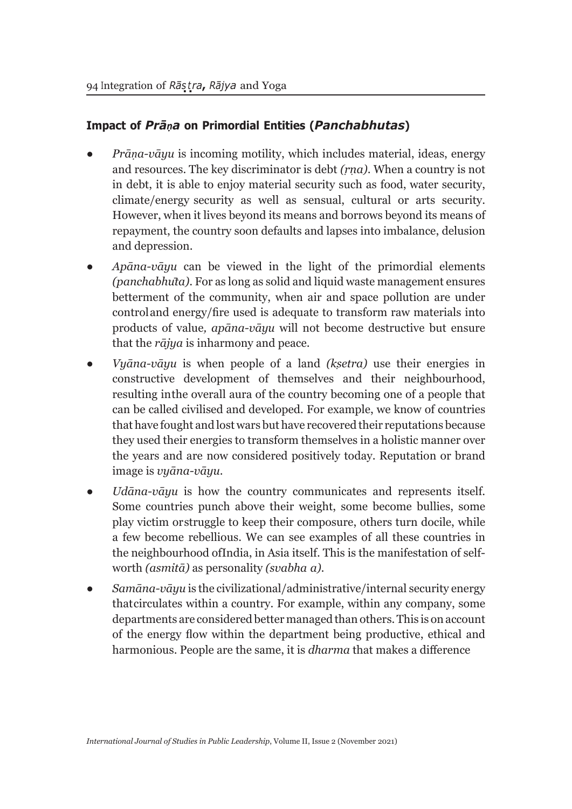## **Impact of** *Prāṇa* **on Primordial Entities (***Panchabhutas***)**

- *● Prāṇa-vāyu* is incoming motility, which includes material, ideas, energy and resources. The key discriminator is debt *(ṛṇa)*. When a country is not in debt, it is able to enjoy material security such as food, water security, climate/energy security as well as sensual, cultural or arts security. However, when it lives beyond its means and borrows beyond its means of repayment, the country soon defaults and lapses into imbalance, delusion and depression.
- *● Apāna-vāyu* can be viewed in the light of the primordial elements *(panchabhūta).* For as long as solid and liquid waste management ensures betterment of the community, when air and space pollution are under control and energy/fire used is adequate to transform raw materials into products of value*, apāna-vāyu* will not become destructive but ensure that the *rājya* is inharmony and peace.
- *● Vyāna-vāyu* is when people of a land *(kṣetra)* use their energies in constructive development of themselves and their neighbourhood, resulting in the overall aura of the country becoming one of a people that can be called civilised and developed. For example, we know of countries that have fought and lost wars but have recovered their reputations because they used their energies to transform themselves in a holistic manner over the years and are now considered positively today. Reputation or brand image is *vyāna-vāyu*.
- *● Udāna-vāyu* is how the country communicates and represents itself. Some countries punch above their weight, some become bullies, some play victim or struggle to keep their composure, others turn docile, while a few become rebellious. We can see examples of all these countries in the neighbourhood of India, in Asia itself. This is the manifestation of selfworth *(asmitā)* as personality *(svabha a).*
- *● Samāna-vāyu* is the civilizational/administrative/internal security energy that circulates within a country. For example, within any company, some departments are considered better managed than others. This is on account of the energy flow within the department being productive, ethical and harmonious. People are the same, it is *dharma* that makes a difference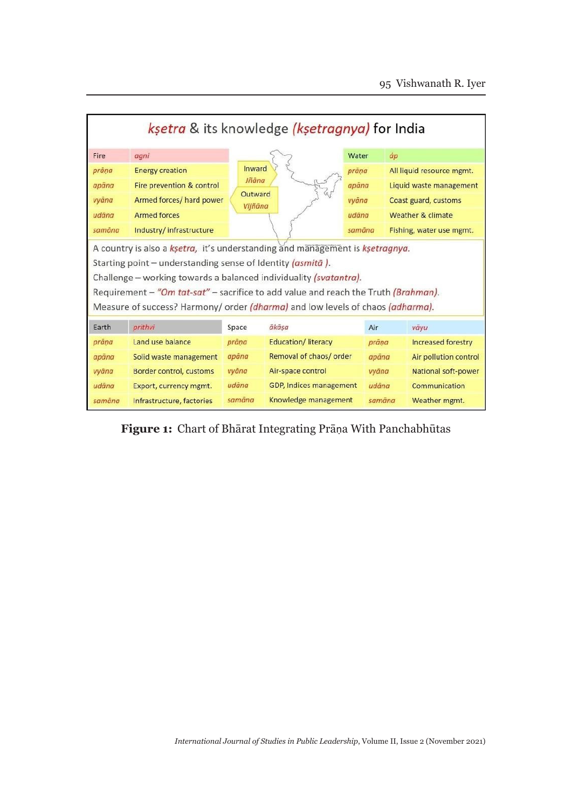| ksetra & its knowledge (ksetragnya) for India                                      |                           |                    |                                |        |                           |  |  |
|------------------------------------------------------------------------------------|---------------------------|--------------------|--------------------------------|--------|---------------------------|--|--|
| Fire                                                                               | agni                      |                    |                                | Water  | áp                        |  |  |
| prāna                                                                              | <b>Energy creation</b>    | Inward             |                                | prāņa  | All liquid resource mgmt. |  |  |
| apāna                                                                              | Fire prevention & control | Jñāna              |                                | apāna  | Liquid waste management   |  |  |
| vyāna                                                                              | Armed forces/ hard power  | Outward<br>Vijñāna |                                | vyāna  | Coast guard, customs      |  |  |
| udāna                                                                              | <b>Armed forces</b>       |                    |                                | udana  | Weather & climate         |  |  |
| samāna                                                                             | Industry/infrastructure   |                    |                                | samāna | Fishing, water use mgmt.  |  |  |
| A country is also a ksetra, it's understanding and management is ksetragnya.       |                           |                    |                                |        |                           |  |  |
| Starting point - understanding sense of Identity (asmita).                         |                           |                    |                                |        |                           |  |  |
| Challenge - working towards a balanced individuality (svatantra).                  |                           |                    |                                |        |                           |  |  |
| Requirement - "Om tat-sat" - sacrifice to add value and reach the Truth (Brahman). |                           |                    |                                |        |                           |  |  |
| Measure of success? Harmony/ order (dharma) and low levels of chaos (adharma).     |                           |                    |                                |        |                           |  |  |
| Earth                                                                              | prithvi                   | Space              | ākāsa                          | Air    | vāyu                      |  |  |
| prāna                                                                              | Land use balance          | prāna              | <b>Education/Iiteracy</b>      | prāna  | Increased forestry        |  |  |
| apāna                                                                              | Solid waste management    | apāna              | Removal of chaos/ order        | apāna  | Air pollution control     |  |  |
| vyāna                                                                              | Border control, customs   | vyāna              | Air-space control              | vyāna  | National soft-power       |  |  |
| udāna                                                                              | Export, currency mgmt.    | udāna              | <b>GDP, Indices management</b> | udäna  | <b>Communication</b>      |  |  |
| samāna                                                                             | Infrastructure, factories | samāna             | Knowledge management           | samāna | Weather mgmt.             |  |  |

**Figure 1:** Chart of Bhārat Integrating Prāṇa With Panchabhūtas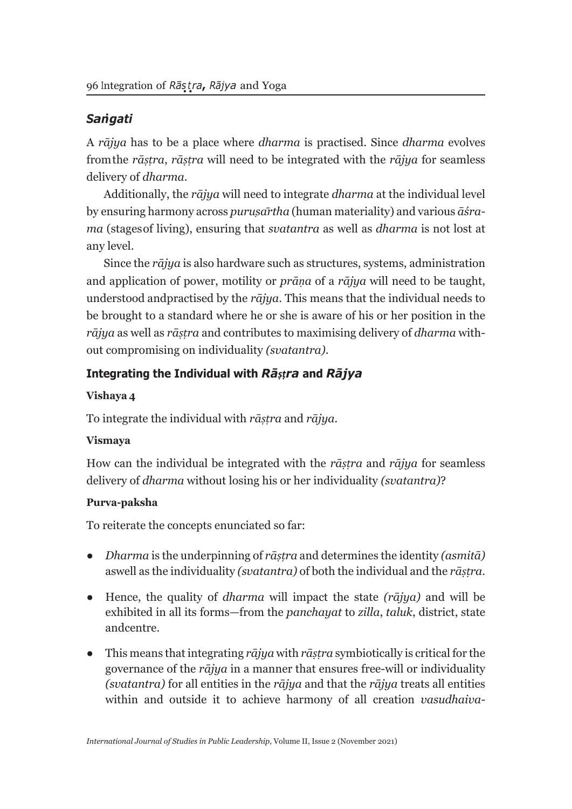# *San* **.** *gati*

A *rājya* has to be a place where *dharma* is practised. Since *dharma* evolves from the *rāṣṭra*, *rāṣṭra* will need to be integrated with the *rājya* for seamless delivery of *dharma*.

Additionally, the *rājya* will need to integrate *dharma* at the individual level by ensuring harmony across *puruṣārtha* (human materiality) and various *āśrama* (stages of living), ensuring that *svatantra* as well as *dharma* is not lost at any level.

Since the *rājya* is also hardware such as structures, systems, administration and application of power, motility or *prāṇa* of a *rājya* will need to be taught, understood and practised by the *rājya*. This means that the individual needs to be brought to a standard where he or she is aware of his or her position in the *rājya* as well as *rāṣṭra* and contributes to maximising delivery of *dharma* without compromising on individuality *(svatantra)*.

## **Integrating the Individual with** *Rāṣṭra* **and** *Rājya*

### **Vishaya 4**

To integrate the individual with *rāṣṭra* and *rājya.*

### **Vismaya**

How can the individual be integrated with the *rāṣṭra* and *rājya* for seamless delivery of *dharma* without losing his or her individuality *(svatantra)*?

## **Purva-paksha**

To reiterate the concepts enunciated so far:

- *● Dharma* is the underpinning of *rāṣṭra* and determines the identity *(asmitā)*  as well as the individuality *(svatantra)* of both the individual and the *rāṣṭra*.
- Hence, the quality of *dharma* will impact the state *(rājya)* and will be exhibited in all its forms—from the *panchayat* to *zilla*, *taluk*, district, state and centre.
- This means that integrating *rājya* with *rāṣṭra* symbiotically is critical for the governance of the *rājya* in a manner that ensures free-will or individuality *(svatantra)* for all entities in the *rājya* and that the *rājya* treats all entities within and outside it to achieve harmony of all creation *vasudhaiva-*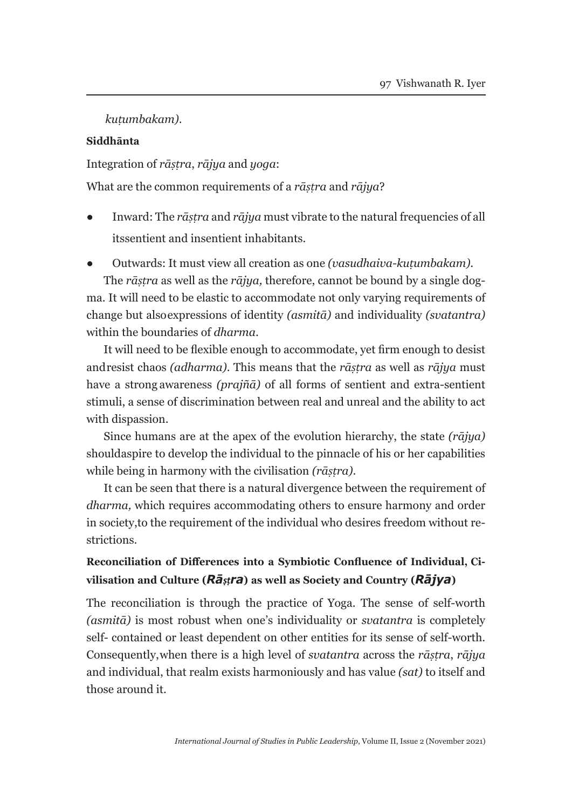*kuṭumbakam)*.

### **Siddhānta**

Integration of *rāṣṭra*, *rājya* and *yoga*:

What are the common requirements of a *rāṣṭra* and *rājya*?

- Inward: The *rāṣṭra* and *rājya* must vibrate to the natural frequencies of all its sentient and insentient inhabitants.
- Outwards: It must view all creation as one *(vasudhaiva-kuṭumbakam).*

The *rāṣṭra* as well as the *rājya,* therefore, cannot be bound by a single dogma. It will need to be elastic to accommodate not only varying requirements of change but also expressions of identity *(asmitā)* and individuality *(svatantra)*  within the boundaries of *dharma*.

It will need to be flexible enough to accommodate, yet firm enough to desist and resist chaos *(adharma)*. This means that the *rāṣṭra* as well as *rājya* must have a strong awareness *(prajñā)* of all forms of sentient and extra-sentient stimuli, a sense of discrimination between real and unreal and the ability to act with dispassion.

Since humans are at the apex of the evolution hierarchy, the state *(rājya)*  should aspire to develop the individual to the pinnacle of his or her capabilities while being in harmony with the civilisation *(rāṣṭra)*.

It can be seen that there is a natural divergence between the requirement of *dharma,* which requires accommodating others to ensure harmony and order in society, to the requirement of the individual who desires freedom without restrictions.

## **Reconciliation of Differences into a Symbiotic Confluence of Individual, Civilisation and Culture (***Rāṣṭra***) as well as Society and Country (***Rājya***)**

The reconciliation is through the practice of Yoga. The sense of self-worth *(asmitā)* is most robust when one's individuality or *svatantra* is completely self- contained or least dependent on other entities for its sense of self-worth. Consequently, when there is a high level of *svatantra* across the *rāṣṭra*, *rājya*  and individual, that realm exists harmoniously and has value *(sat)* to itself and those around it.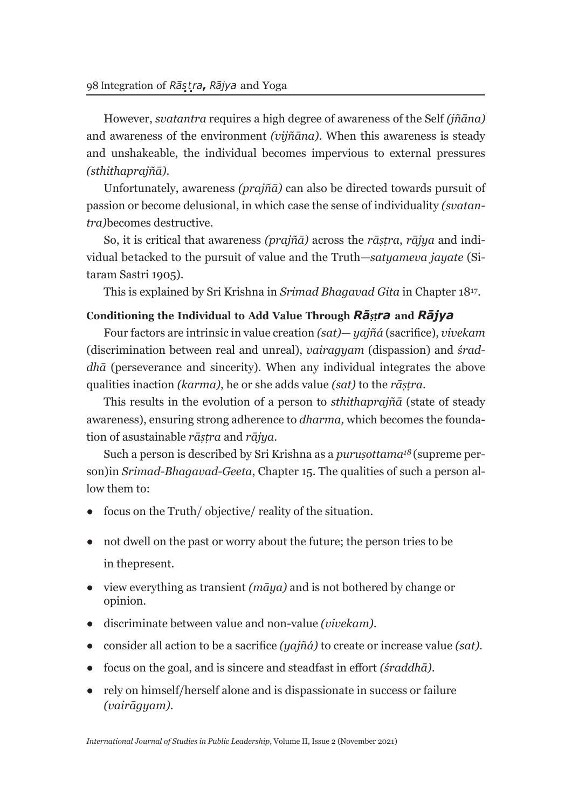However, *svatantra* requires a high degree of awareness of the Self *(jñāna)*  and awareness of the environment *(vijñāna)*. When this awareness is steady and unshakeable, the individual becomes impervious to external pressures *(sthithaprajñā)*.

Unfortunately, awareness *(prajñā)* can also be directed towards pursuit of passion or become delusional, in which case the sense of individuality *(svatantra)* becomes destructive.

So, it is critical that awareness *(prajñā)* across the *rāṣṭra*, *rājya* and individual be tacked to the pursuit of value and the Truth*—satyameva jayate* (Sitaram Sastri 1905).

This is explained by Sri Krishna in *Srimad Bhagavad Gita* in Chapter 1817.

### **Conditioning the Individual to Add Value Through** *Rāṣṭra* **and** *Rājya*

Four factors are intrinsic in value creation *(sat)*— *yajñá* (sacrifice), *vivekam*  (discrimination between real and unreal), *vairagyam* (dispassion) and *śraddhā* (perseverance and sincerity). When any individual integrates the above qualities in action *(karma)*, he or she adds value *(sat)* to the *rāṣṭra*.

This results in the evolution of a person to *sthithaprajñā* (state of steady awareness), ensuring strong adherence to *dharma,* which becomes the foundation of a sustainable *rāṣṭra* and *rājya*.

Such a person is described by Sri Krishna as a *puruṣottama18* (supreme person) in *Srimad-Bhagavad-Geeta*, Chapter 15. The qualities of such a person allow them to:

- focus on the Truth/ objective/ reality of the situation.
- not dwell on the past or worry about the future; the person tries to be in the present.
- view everything as transient *(māya)* and is not bothered by change or opinion.
- discriminate between value and non-value *(vivekam)*.
- consider all action to be a sacrifice *(yajñá)* to create or increase value *(sat).*
- focus on the goal, and is sincere and steadfast in effort *(śraddhā)*.
- rely on himself/herself alone and is dispassionate in success or failure *(vairāgyam)*.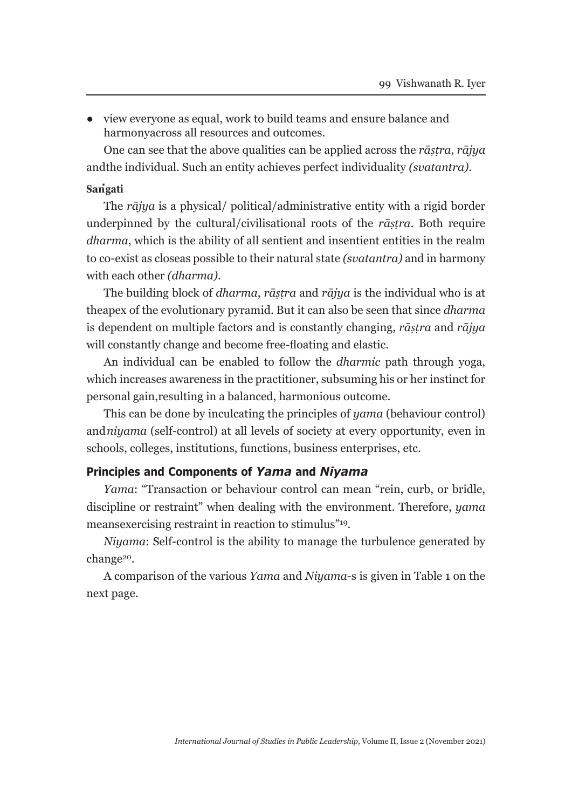● view everyone as equal, work to build teams and ensure balance and harmony across all resources and outcomes.

One can see that the above qualities can be applied across the *rāṣṭra*, *rājya*  and the individual. Such an entity achieves perfect individuality *(svatantra)*.

## **San . gati**

The *rājya* is a physical/ political/administrative entity with a rigid border underpinned by the cultural/civilisational roots of the *rāṣṭra*. Both require *dharma*, which is the ability of all sentient and insentient entities in the realm to co-exist as close as possible to their natural state *(svatantra)* and in harmony with each other *(dharma)*.

The building block of *dharma*, *rāṣṭra* and *rājya* is the individual who is at the apex of the evolutionary pyramid. But it can also be seen that since *dharma*  is dependent on multiple factors and is constantly changing, *rāṣṭra* and *rājya*  will constantly change and become free-floating and elastic.

An individual can be enabled to follow the *dharmic* path through yoga, which increases awareness in the practitioner, subsuming his or her instinct for personal gain, resulting in a balanced, harmonious outcome.

This can be done by inculcating the principles of *yama* (behaviour control) and *niyama* (self-control) at all levels of society at every opportunity, even in schools, colleges, institutions, functions, business enterprises, etc.

#### **Principles and Components of** *Yama* **and** *Niyama*

*Yama*: "Transaction or behaviour control can mean "rein, curb, or bridle, discipline or restraint" when dealing with the environment. Therefore, *yama*  means exercising restraint in reaction to stimulus"<sup>19</sup>.

*Niyama*: Self-control is the ability to manage the turbulence generated by change<sup>20</sup>.

A comparison of the various *Yama* and *Niyama*-s is given in Table 1 on the next page.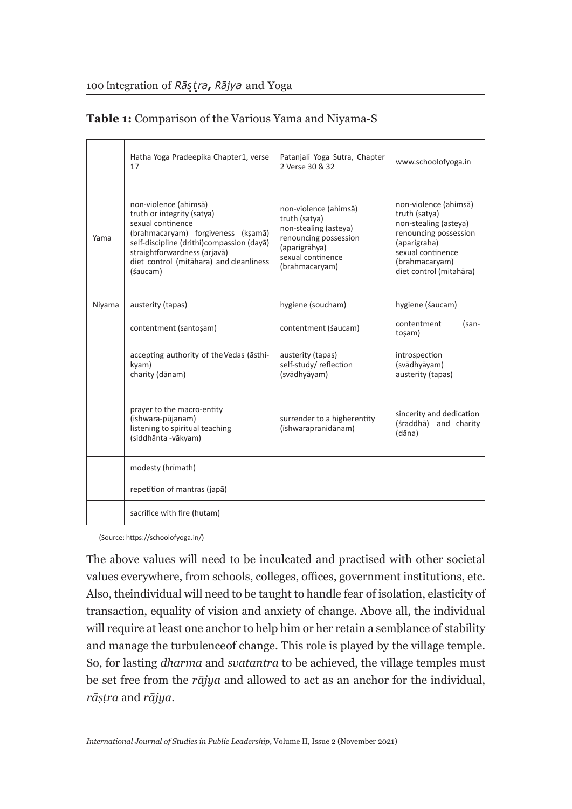|        | Hatha Yoga Pradeepika Chapter 1, verse<br>17                                                                                                                                                                                                       | Patanjali Yoga Sutra, Chapter<br>2 Verse 30 & 32                                                                                                 | www.schoolofyoga.in                                                                                                                                                        |
|--------|----------------------------------------------------------------------------------------------------------------------------------------------------------------------------------------------------------------------------------------------------|--------------------------------------------------------------------------------------------------------------------------------------------------|----------------------------------------------------------------------------------------------------------------------------------------------------------------------------|
| Yama   | non-violence (ahimsā)<br>truth or integrity (satya)<br>sexual continence<br>(brahmacaryam) forgiveness (ksamā)<br>self-discipline (drithi)compassion (dayā)<br>straightforwardness (arjavā)<br>diet control (mitāhara) and cleanliness<br>(śaucam) | non-violence (ahimsā)<br>truth (satya)<br>non-stealing (asteya)<br>renouncing possession<br>(aparigrāhya)<br>sexual continence<br>(brahmacaryam) | non-violence (ahimsā)<br>truth (satya)<br>non-stealing (asteva)<br>renouncing possession<br>(aparigraha)<br>sexual continence<br>(brahmacaryam)<br>diet control (mitahāra) |
| Niyama | austerity (tapas)                                                                                                                                                                                                                                  | hygiene (soucham)                                                                                                                                | hygiene (śaucam)                                                                                                                                                           |
|        | contentment (santoşam)                                                                                                                                                                                                                             | contentment (saucam)                                                                                                                             | contentment<br>(san-<br>toşam)                                                                                                                                             |
|        | accepting authority of the Vedas (asthi-<br>kyam)<br>charity (dānam)                                                                                                                                                                               | austerity (tapas)<br>self-study/reflection<br>(svādhyāyam)                                                                                       | introspection<br>(svādhyāyam)<br>austerity (tapas)                                                                                                                         |
|        | prayer to the macro-entity<br>(īshwara-pūjanam)<br>listening to spiritual teaching<br>(siddhānta - vākyam)                                                                                                                                         | surrender to a higherentity<br>(īshwarapranidānam)                                                                                               | sincerity and dedication<br>(śraddhā)<br>and charity<br>(dāna)                                                                                                             |
|        | modesty (hrimath)                                                                                                                                                                                                                                  |                                                                                                                                                  |                                                                                                                                                                            |
|        | repetition of mantras (japā)                                                                                                                                                                                                                       |                                                                                                                                                  |                                                                                                                                                                            |
|        | sacrifice with fire (hutam)                                                                                                                                                                                                                        |                                                                                                                                                  |                                                                                                                                                                            |

## **Table 1:** Comparison of the Various Yama and Niyama-S

(Source: https://schoolofyoga.in/)

The above values will need to be inculcated and practised with other societal values everywhere, from schools, colleges, offices, government institutions, etc. Also, the individual will need to be taught to handle fear of isolation, elasticity of transaction, equality of vision and anxiety of change. Above all, the individual will require at least one anchor to help him or her retain a semblance of stability and manage the turbulence of change. This role is played by the village temple. So, for lasting *dharma* and *svatantra* to be achieved, the village temples must be set free from the *rājya* and allowed to act as an anchor for the individual, *rāṣṭra* and *rājya*.